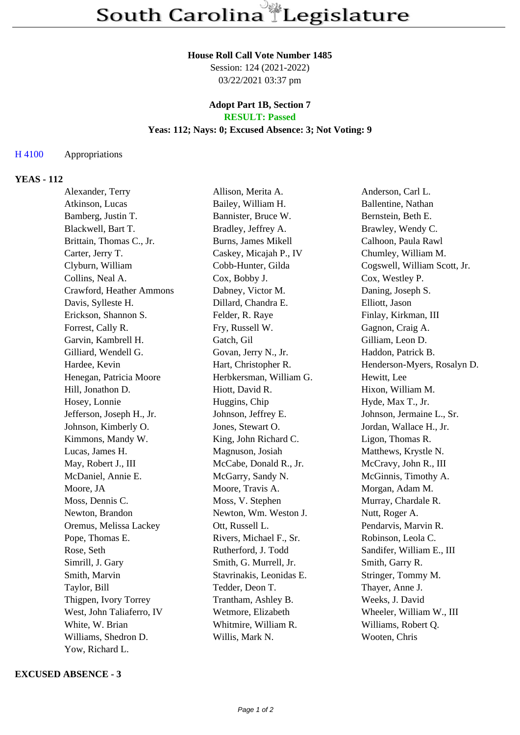#### **House Roll Call Vote Number 1485**

Session: 124 (2021-2022) 03/22/2021 03:37 pm

#### **Adopt Part 1B, Section 7 RESULT: Passed**

## **Yeas: 112; Nays: 0; Excused Absence: 3; Not Voting: 9**

### H 4100 Appropriations

# **YEAS - 112**

| Alexander, Terry          | Allison, Merita A.       | Anderson, Carl L.            |
|---------------------------|--------------------------|------------------------------|
| Atkinson, Lucas           | Bailey, William H.       | Ballentine, Nathan           |
| Bamberg, Justin T.        | Bannister, Bruce W.      | Bernstein, Beth E.           |
| Blackwell, Bart T.        | Bradley, Jeffrey A.      | Brawley, Wendy C.            |
| Brittain, Thomas C., Jr.  | Burns, James Mikell      | Calhoon, Paula Rawl          |
| Carter, Jerry T.          | Caskey, Micajah P., IV   | Chumley, William M.          |
| Clyburn, William          | Cobb-Hunter, Gilda       | Cogswell, William Scott, Jr. |
| Collins, Neal A.          | Cox, Bobby J.            | Cox, Westley P.              |
| Crawford, Heather Ammons  | Dabney, Victor M.        | Daning, Joseph S.            |
| Davis, Sylleste H.        | Dillard, Chandra E.      | Elliott, Jason               |
| Erickson, Shannon S.      | Felder, R. Raye          | Finlay, Kirkman, III         |
| Forrest, Cally R.         | Fry, Russell W.          | Gagnon, Craig A.             |
| Garvin, Kambrell H.       | Gatch, Gil               | Gilliam, Leon D.             |
| Gilliard, Wendell G.      | Govan, Jerry N., Jr.     | Haddon, Patrick B.           |
| Hardee, Kevin             | Hart, Christopher R.     | Henderson-Myers, Rosalyn D.  |
| Henegan, Patricia Moore   | Herbkersman, William G.  | Hewitt, Lee                  |
| Hill, Jonathon D.         | Hiott, David R.          | Hixon, William M.            |
| Hosey, Lonnie             | Huggins, Chip            | Hyde, Max T., Jr.            |
| Jefferson, Joseph H., Jr. | Johnson, Jeffrey E.      | Johnson, Jermaine L., Sr.    |
| Johnson, Kimberly O.      | Jones, Stewart O.        | Jordan, Wallace H., Jr.      |
| Kimmons, Mandy W.         | King, John Richard C.    | Ligon, Thomas R.             |
| Lucas, James H.           | Magnuson, Josiah         | Matthews, Krystle N.         |
| May, Robert J., III       | McCabe, Donald R., Jr.   | McCravy, John R., III        |
| McDaniel, Annie E.        | McGarry, Sandy N.        | McGinnis, Timothy A.         |
| Moore, JA                 | Moore, Travis A.         | Morgan, Adam M.              |
| Moss, Dennis C.           | Moss, V. Stephen         | Murray, Chardale R.          |
| Newton, Brandon           | Newton, Wm. Weston J.    | Nutt, Roger A.               |
| Oremus, Melissa Lackey    | Ott, Russell L.          | Pendarvis, Marvin R.         |
| Pope, Thomas E.           | Rivers, Michael F., Sr.  | Robinson, Leola C.           |
| Rose, Seth                | Rutherford, J. Todd      | Sandifer, William E., III    |
| Simrill, J. Gary          | Smith, G. Murrell, Jr.   | Smith, Garry R.              |
| Smith, Marvin             | Stavrinakis, Leonidas E. | Stringer, Tommy M.           |
| Taylor, Bill              | Tedder, Deon T.          | Thayer, Anne J.              |
| Thigpen, Ivory Torrey     | Trantham, Ashley B.      | Weeks, J. David              |
| West, John Taliaferro, IV | Wetmore, Elizabeth       | Wheeler, William W., III     |
| White, W. Brian           | Whitmire, William R.     | Williams, Robert Q.          |
| Williams, Shedron D.      | Willis, Mark N.          | Wooten, Chris                |
| Yow, Richard L.           |                          |                              |

#### **EXCUSED ABSENCE - 3**